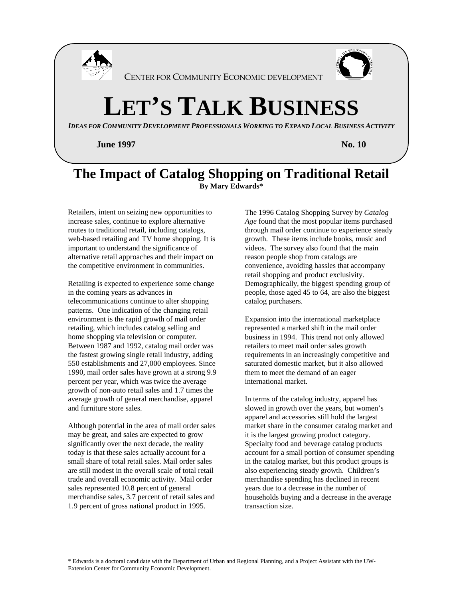

## **LET'S TALK BUSINESS**

*IDEAS FOR COMMUNITY DEVELOPMENT PROFESSIONALS WORKING TO EXPAND LOCAL BUSINESS ACTIVITY*

*June 1997* **• No. 10 No. 10 No. 10 No. 10** 

## **The Impact of Catalog Shopping on Traditional Retail By Mary Edwards\***

Retailers, intent on seizing new opportunities to increase sales, continue to explore alternative routes to traditional retail, including catalogs, web-based retailing and TV home shopping. It is important to understand the significance of alternative retail approaches and their impact on the competitive environment in communities.

Retailing is expected to experience some change in the coming years as advances in telecommunications continue to alter shopping patterns. One indication of the changing retail environment is the rapid growth of mail order retailing, which includes catalog selling and home shopping via television or computer. Between 1987 and 1992, catalog mail order was the fastest growing single retail industry, adding 550 establishments and 27,000 employees. Since 1990, mail order sales have grown at a strong 9.9 percent per year, which was twice the average growth of non-auto retail sales and 1.7 times the average growth of general merchandise, apparel and furniture store sales.

Although potential in the area of mail order sales may be great, and sales are expected to grow significantly over the next decade, the reality today is that these sales actually account for a small share of total retail sales. Mail order sales are still modest in the overall scale of total retail trade and overall economic activity. Mail order sales represented 10.8 percent of general merchandise sales, 3.7 percent of retail sales and 1.9 percent of gross national product in 1995.

The 1996 Catalog Shopping Survey by *Catalog Age* found that the most popular items purchased through mail order continue to experience steady growth. These items include books, music and videos. The survey also found that the main reason people shop from catalogs are convenience, avoiding hassles that accompany retail shopping and product exclusivity. Demographically, the biggest spending group of people, those aged 45 to 64, are also the biggest catalog purchasers.

Expansion into the international marketplace represented a marked shift in the mail order business in 1994. This trend not only allowed retailers to meet mail order sales growth requirements in an increasingly competitive and saturated domestic market, but it also allowed them to meet the demand of an eager international market.

In terms of the catalog industry, apparel has slowed in growth over the years, but women's apparel and accessories still hold the largest market share in the consumer catalog market and it is the largest growing product category. Specialty food and beverage catalog products account for a small portion of consumer spending in the catalog market, but this product groups is also experiencing steady growth. Children's merchandise spending has declined in recent years due to a decrease in the number of households buying and a decrease in the average transaction size.